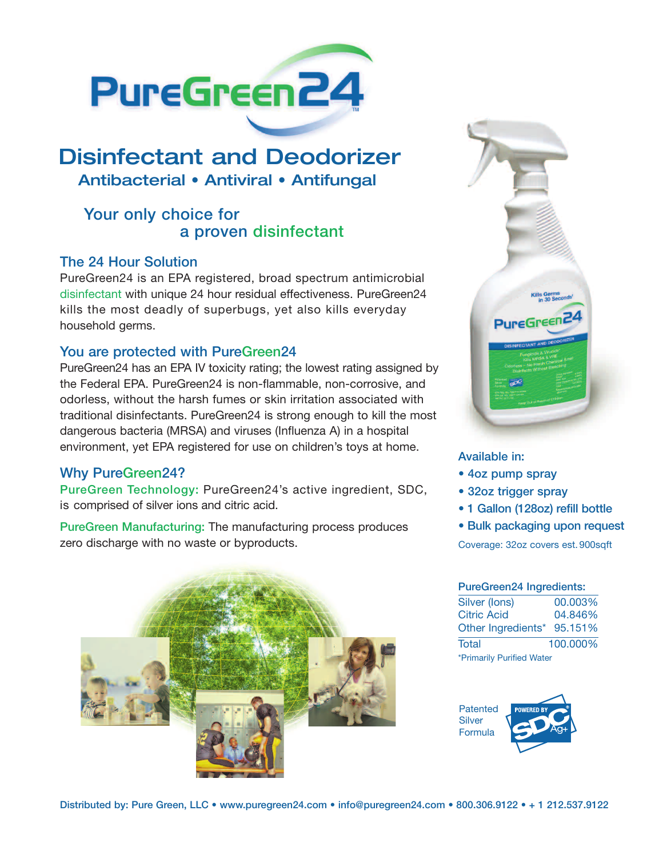

# **Disinfectant and Deodorizer Antibacterial • Antiviral • Antifungal**

## Your only choice for a proven disinfectant

### The 24 Hour Solution

PureGreen24 is an EPA registered, broad spectrum antimicrobial disinfectant with unique 24 hour residual effectiveness. PureGreen24 kills the most deadly of superbugs, yet also kills everyday household germs.

### You are protected with PureGreen24

PureGreen24 has an EPA IV toxicity rating; the lowest rating assigned by the Federal EPA. PureGreen24 is non-flammable, non-corrosive, and odorless, without the harsh fumes or skin irritation associated with traditional disinfectants. PureGreen24 is strong enough to kill the most dangerous bacteria (MRSA) and viruses (Influenza A) in a hospital environment, yet EPA registered for use on children's toys at home.

### Why PureGreen24?

PureGreen Technology: PureGreen24's active ingredient, SDC, is comprised of silver ions and citric acid.

PureGreen Manufacturing: The manufacturing process produces zero discharge with no waste or byproducts.





#### Available in:

- 4oz pump spray
- 32oz trigger spray
- 1 Gallon (128oz) refill bottle
- Bulk packaging upon request

Coverage: 32oz covers est.900sqft

### PureGreen24 Ingredients:

| Silver (lons)              | 00.003%  |  |  |
|----------------------------|----------|--|--|
| <b>Citric Acid</b>         | 04.846%  |  |  |
| Other Ingredients* 95.151% |          |  |  |
| Total                      | 100.000% |  |  |
| *Primarily Purified Water  |          |  |  |

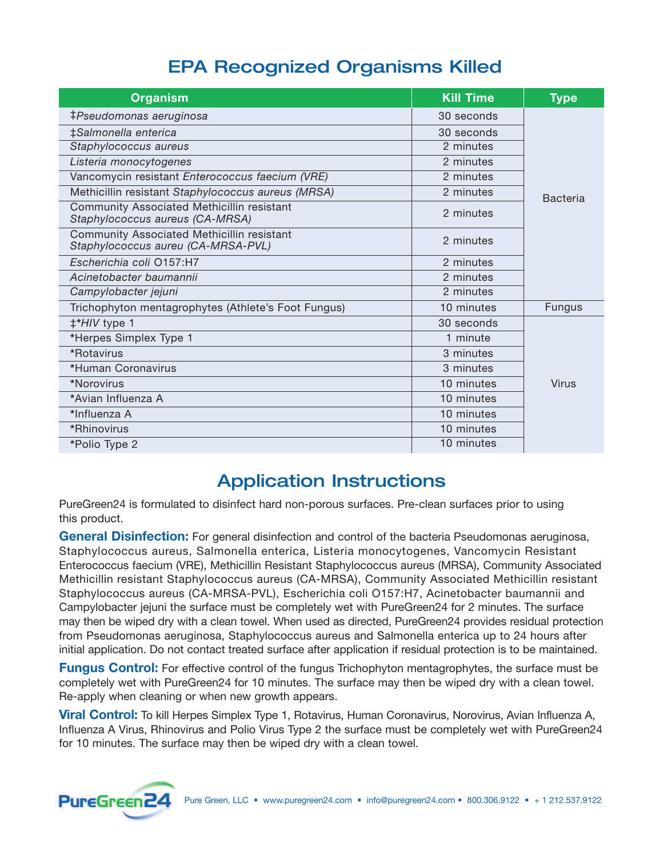## **EPA Recognized Organisms Killed**

| <b>Organism</b>                                                                  | <b>Kill Time</b> | <b>Type</b>     |
|----------------------------------------------------------------------------------|------------------|-----------------|
| ‡Pseudomonas aeruginosa                                                          | 30 seconds       |                 |
| ‡Salmonella enterica                                                             | 30 seconds       |                 |
| Staphylococcus aureus                                                            | 2 minutes        |                 |
| Listeria monocytogenes                                                           | 2 minutes        |                 |
| Vancomycin resistant Enterococcus faecium (VRE)                                  | 2 minutes        |                 |
| Methicillin resistant Staphylococcus aureus (MRSA)                               | 2 minutes        | <b>Bacteria</b> |
| Community Associated Methicillin resistant<br>Staphylococcus aureus (CA-MRSA)    | 2 minutes        |                 |
| Community Associated Methicillin resistant<br>Staphylococcus aureu (CA-MRSA-PVL) | 2 minutes        |                 |
| Escherichia coli 0157:H7                                                         | 2 minutes        |                 |
| Acinetobacter baumannii                                                          | 2 minutes        |                 |
| Campylobacter jejuni                                                             | 2 minutes        |                 |
| Trichophyton mentagrophytes (Athlete's Foot Fungus)                              | 10 minutes       | <b>Fungus</b>   |
| #*HIV type 1                                                                     | 30 seconds       |                 |
| *Herpes Simplex Type 1                                                           | 1 minute         |                 |
| *Rotavirus                                                                       | 3 minutes        |                 |
| *Human Coronavirus                                                               | 3 minutes        |                 |
| *Norovirus                                                                       | 10 minutes       | Virus           |
| *Avian Influenza A                                                               | 10 minutes       |                 |
| *Influenza A                                                                     | 10 minutes       |                 |
| *Rhinovirus                                                                      | 10 minutes       |                 |
| *Polio Type 2                                                                    | 10 minutes       |                 |

## **Application Instructions**

PureGreen24 is formulated to disinfect hard non-porous surfaces. Pre-clean surfaces prior to using this product.

**General Disinfection:** For general disinfection and control of the bacteria Pseudomonas aeruginosa, Staphylococcus aureus, Salmonella enterica, Listeria monocytogenes, Vancomycin Resistant Enterococcus faecium (VRE), Methicillin Resistant Staphylococcus aureus (MRSA), Community Associated Methicillin resistant Staphylococcus aureus (CA-MRSA), Community Associated Methicillin resistant Staphylococcus aureus (CA-MRSA-PVL), Escherichia coli O157:H7, Acinetobacter baumannii and Campylobacter jejuni the surface must be completely wet with PureGreen24 for 2 minutes. The surface may then be wiped dry with a clean towel. When used as directed, PureGreen24 provides residual protection from Pseudomonas aeruginosa, Staphylococcus aureus and Salmonella enterica up to 24 hours after initial application. Do not contact treated surface after application if residual protection is to be maintained.

**Fungus Control:** For effective control of the fungus Trichophyton mentagrophytes, the surface must be completely wet with PureGreen24 for 10 minutes. The surface may then be wiped dry with a clean towel. Re-apply when cleaning or when new growth appears.

**Viral Control:** To kill Herpes Simplex Type 1, Rotavirus, Human Coronavirus, Norovirus, Avian Influenza A, Influenza A Virus, Rhinovirus and Polio Virus Type 2 the surface must be completely wet with PureGreen24 for 10 minutes. The surface may then be wiped dry with a clean towel.